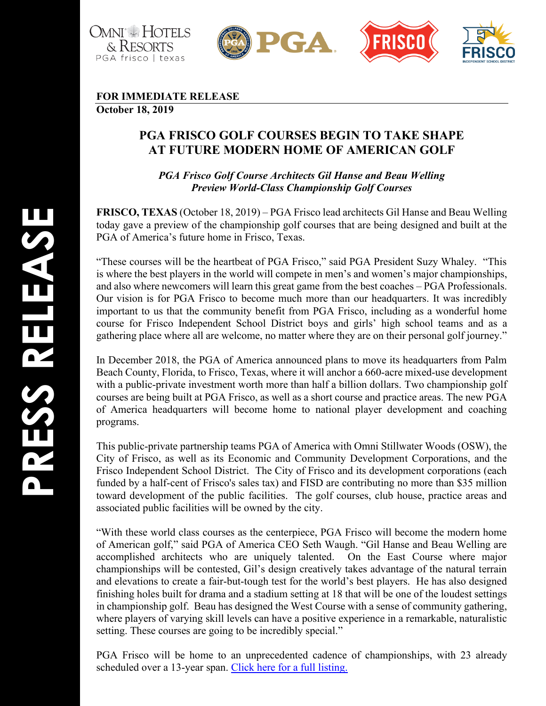



## **FOR IMMEDIATE RELEASE**

**October 1 8, 2019**

## **PGA FRISCO GOLF COURSES BEGIN TO TAKE SHAPE AT FUTURE MODERN HOME OF AMERICAN GOLF**

*PGA Frisco Golf Course Architects Gil Hanse and Beau Welling Preview World-Class Championship Golf Courses*

**FRISCO, TEXAS** (October 18, 2019) – PGA Frisco lead architects Gil Hanse and Beau Welling today gave a preview of the championship golf courses that are being designed and built at the PGA of America's future home in Frisco, Texas.

"These courses will be the heartbeat of PGA Frisco," said PGA President Suzy Whaley. "This is where the best players in the world will compete in men's and women's major championships, and also where newcomers will learn this great game from the best coaches – PGA Professionals. Our vision is for PGA Frisco to become much more than our headquarters. It was incredibly important to us that the community benefit from PGA Frisco, including as a wonderful home course for Frisco Independent School District boys and girls ' high school teams and as a gathering place where all are welcome, no matter where they are on their personal golf journey."

In December 2018, the PGA of America announced plans to move its headquarters from Palm Beach County, Florida, to Frisco, Texas, where it will anchor a 660-acre mixed-use development with a public -private investment worth more than half a billion dollars. Two championship golf courses are being built at PGA Frisco, as well as a short course and practice areas. The new PGA of America headquarters will become home to national player development and coaching programs.

This public -private partnership teams PGA of America with Omni Stillwater Woods (OSW), the City of Frisco, as well as its Economic and Community Development Corporations, and the Frisco Independent School District. The City of Frisco and its development corporations (each funded by a half-cent of Frisco's sales tax) and FISD are contributing no more than \$35 million toward development of the public facilities. The golf courses, club house, practice areas and associated public facilities will be owned by the city.

"With these world class courses as the centerpiece, PGA Frisco will become the modern home of American golf," said PGA of America CEO Seth Waugh. "Gil Hanse and Beau Welling are accomplished architects who are uniquely talented. On the East Course where major championships will be contested, Gil's design creatively takes advantage of the natural terrain and elevations to create a fair -but -tough test for the world's best players. He has also designed finishing holes built for drama and a stadium setting at 18 that will be one of the loudest settings in championship golf. Beau has designed the West Course with a sense of community gathering, where players of varying skill levels can have a positive experience in a remarkable, naturalistic setting. These courses are going to be incredibly special."

PGA Frisco will be home to an unprecedented cadence of championships, with 23 already scheduled over a 13-year span. [Click here for a full listing](https://www.dropbox.com/s/8s8olxo4uvd0ho1/Future%20PGA%20of%20America%20Championships.pdf?dl=0).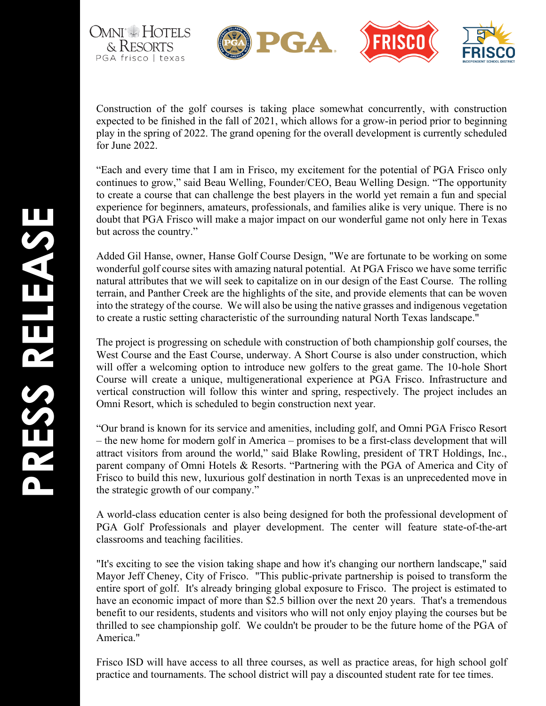

Construction of the golf courses is taking place somewhat concurrently, with construction expected to be finished in the fall of 2021, which allows for a grow -in period prior to beginning play in the spring of 2022. The grand opening for the overall development is currently scheduled for June 2022.

"Each and every time that I am in Frisco, my excitement for the potential of PGA Frisco only continues to grow," said Beau Welling, Founder/CEO, Beau Welling Design. "The opportunity to create a course that can challenge the best players in the world yet remain a fun and special experience for beginners, amateurs, professionals, and families alike is very unique. There is no doubt that PGA Frisco will make a major impact on our wonderful game not only here in Texas but across the country."

Added Gil Hanse, owner, Hanse Golf Course Design, "We are fortunate to be working on some wonderful golf course sites with amazing natural potential. At PGA Frisco we have some terrific natural attributes that we will seek to capitalize on in our design of the East Course. The rolling terrain, and Panther Creek are the highlights of the site, and provide elements that can be woven into the strategy of the course. We will also be using the native grasses and indigenous vegetation to create a rustic setting characteristic of the surrounding natural North Texas landscape."

The project is progressing on schedule with construction of both championship golf courses, the West Course and the East Course, underway. A Short Course is also under construction, which will offer a welcoming option to introduce new golfers to the great game. The 10 -hole Short Course will create a unique, multigenerational experience at PGA Frisco. Infrastructure and vertical construction will follow this winter and spring, respectively. The project includes an Omni Resort, which is scheduled to begin construction next year.

"Our brand is known for its service and amenities, including golf, and Omni PGA Frisco Resort – the new home for modern golf in America – promises to be a first-class development that will attract visitors from around the world," said Blake Rowling, president of TRT Holdings, Inc., parent company of Omni Hotels & Resorts. "Partnering with the PGA of America and City of Frisco to build this new, luxurious golf destination in north Texas is an unprecedented move in the strategic growth of our company."

A world -class education center is also being designed for both the professional development of PGA Golf Professionals and player development. The center will feature state-of-the-art classrooms and teaching facilities .

"It's exciting to see the vision taking shape and how it's changing our northern landscape," said Mayor Jeff Cheney, City of Frisco. "This public -private partnership is poised to transform the entire sport of golf. It's already bringing global exposure to Frisco. The project is estimated to have an economic impact of more than \$2.5 billion over the next 20 years. That's a tremendous benefit to our residents, students and visitors who will not only enjoy playing the courses but be thrilled to see championship golf. We couldn't be prouder to be the future home of the PGA of America."

Frisco ISD will have access to all three courses, as well as practice areas, for high school golf practice and tournaments. The school district will pay a discounted student rate for tee times.